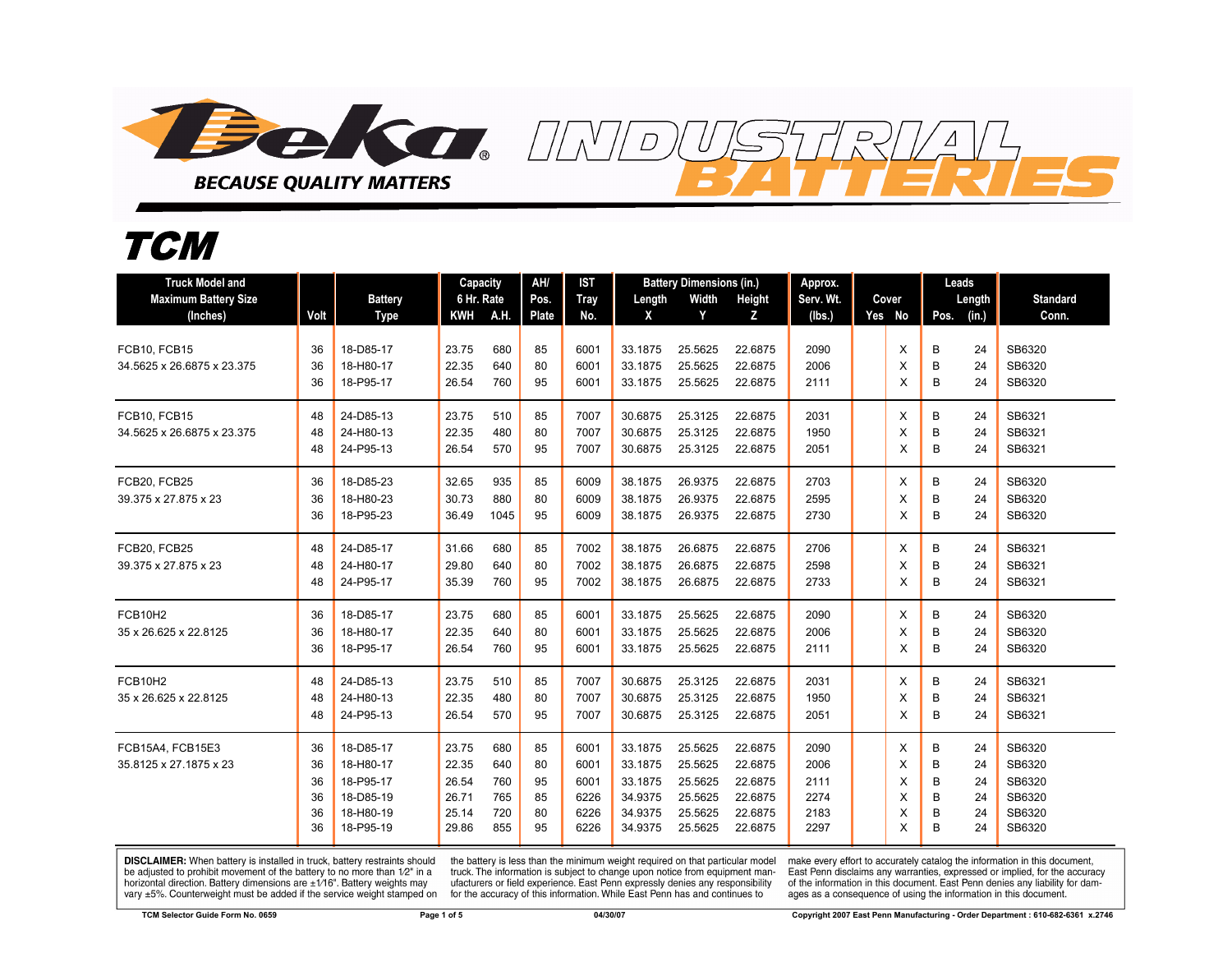

## *TCM*

| <b>Truck Model and</b>      |          |                        | Capacity       |            | AH/          | <b>IST</b>   | <b>Battery Dimensions (in.)</b> |                    |                    | Approx.      |  |        | Leads  |          |                  |
|-----------------------------|----------|------------------------|----------------|------------|--------------|--------------|---------------------------------|--------------------|--------------------|--------------|--|--------|--------|----------|------------------|
| <b>Maximum Battery Size</b> |          | <b>Battery</b>         | 6 Hr. Rate     |            | Pos.         | <b>Tray</b>  | Length                          | Width              | Height             | Serv. Wt.    |  | Cover  |        | Length   | <b>Standard</b>  |
| (Inches)                    | Volt     | Type                   | <b>KWH</b>     | A.H.       | <b>Plate</b> | No.          | X                               | Y                  | z                  | (Ibs.)       |  | Yes No | Pos.   | (in.)    | Conn.            |
| FCB10, FCB15                | 36       | 18-D85-17              | 23.75          | 680        | 85           | 6001         | 33.1875                         | 25.5625            | 22.6875            | 2090         |  | Χ      | В      | 24       | SB6320           |
| 34.5625 x 26.6875 x 23.375  | 36       | 18-H80-17              | 22.35          | 640        | 80           | 6001         | 33.1875                         | 25.5625            | 22.6875            | 2006         |  | X      | B      | 24       | SB6320           |
|                             | 36       | 18-P95-17              | 26.54          | 760        | 95           | 6001         | 33.1875                         | 25.5625            | 22.6875            | 2111         |  | X      | B      | 24       | SB6320           |
| FCB10, FCB15                | 48       | 24-D85-13              | 23.75          | 510        | 85           | 7007         | 30.6875                         | 25.3125            | 22.6875            | 2031         |  | X      | В      | 24       | SB6321           |
| 34.5625 x 26.6875 x 23.375  | 48       | 24-H80-13              | 22.35          | 480        | 80           | 7007         | 30.6875                         | 25.3125            | 22.6875            | 1950         |  | X      | B      | 24       | SB6321           |
|                             | 48       | 24-P95-13              | 26.54          | 570        | 95           | 7007         | 30.6875                         | 25.3125            | 22.6875            | 2051         |  | X      | B      | 24       | SB6321           |
| FCB20, FCB25                | 36       | 18-D85-23              | 32.65          | 935        | 85           | 6009         | 38.1875                         | 26.9375            | 22.6875            | 2703         |  | X      | В      | 24       | SB6320           |
| 39.375 x 27.875 x 23        | 36       | 18-H80-23              | 30.73          | 880        | 80           | 6009         | 38.1875                         | 26.9375            | 22.6875            | 2595         |  | X      | B      | 24       | SB6320           |
|                             | 36       | 18-P95-23              | 36.49          | 1045       | 95           | 6009         | 38.1875                         | 26.9375            | 22.6875            | 2730         |  | X      | B      | 24       | SB6320           |
| FCB20, FCB25                | 48       | 24-D85-17              | 31.66          | 680        | 85           | 7002         | 38.1875                         | 26.6875            | 22.6875            | 2706         |  | X      | B      | 24       | SB6321           |
| 39.375 x 27.875 x 23        | 48       | 24-H80-17              | 29.80          | 640        | 80           | 7002         | 38.1875                         | 26.6875            | 22.6875            | 2598         |  | X      | B      | 24       | SB6321           |
|                             | 48       | 24-P95-17              | 35.39          | 760        | 95           | 7002         | 38.1875                         | 26.6875            | 22.6875            | 2733         |  | X      | B      | 24       | SB6321           |
| FCB10H2                     | 36       | 18-D85-17              | 23.75          | 680        | 85           | 6001         | 33.1875                         | 25.5625            | 22.6875            | 2090         |  | X      | В      | 24       | SB6320           |
| 35 x 26.625 x 22.8125       | 36       | 18-H80-17              | 22.35          | 640        | 80           | 6001         | 33.1875                         | 25.5625            | 22.6875            | 2006         |  | X      | B      | 24       | SB6320           |
|                             | 36       | 18-P95-17              | 26.54          | 760        | 95           | 6001         | 33.1875                         | 25.5625            | 22.6875            | 2111         |  | X      | B      | 24       | SB6320           |
| FCB10H2                     | 48       | 24-D85-13              | 23.75          | 510        | 85           | 7007         | 30.6875                         | 25.3125            | 22.6875            | 2031         |  | X      | В      | 24       | SB6321           |
| 35 x 26.625 x 22.8125       | 48       | 24-H80-13              | 22.35          | 480        | 80           | 7007         | 30.6875                         | 25.3125            | 22.6875            | 1950         |  | X      | B      | 24       | SB6321           |
|                             | 48       | 24-P95-13              | 26.54          | 570        | 95           | 7007         | 30.6875                         | 25.3125            | 22.6875            | 2051         |  | X      | B      | 24       | SB6321           |
| FCB15A4. FCB15E3            | 36       | 18-D85-17              | 23.75          | 680        | 85           | 6001         | 33.1875                         | 25.5625            | 22.6875            | 2090         |  | X      | B      | 24       | SB6320           |
| 35.8125 x 27.1875 x 23      | 36       | 18-H80-17              | 22.35          | 640        | 80           | 6001         | 33.1875                         | 25.5625            | 22.6875            | 2006         |  | X      | B      | 24       | SB6320           |
|                             | 36       | 18-P95-17              | 26.54          | 760        | 95           | 6001         | 33.1875                         | 25.5625            | 22.6875            | 2111         |  | X      | B      | 24       | SB6320           |
|                             | 36       | 18-D85-19              | 26.71          | 765        | 85           | 6226         | 34.9375                         | 25.5625            | 22.6875            | 2274         |  | X      | B      | 24       | SB6320           |
|                             | 36<br>36 | 18-H80-19<br>18-P95-19 | 25.14<br>29.86 | 720<br>855 | 80<br>95     | 6226<br>6226 | 34.9375<br>34.9375              | 25.5625<br>25.5625 | 22.6875<br>22.6875 | 2183<br>2297 |  | X<br>X | B<br>B | 24<br>24 | SB6320<br>SB6320 |
|                             |          |                        |                |            |              |              |                                 |                    |                    |              |  |        |        |          |                  |

**DISCLAIMER:** When battery is installed in truck, battery restraints should be adjusted to prohibit movement of the battery to no more than 1/2" in a horizontal direction. Battery dimensions are  $\pm 1/16$ ". Battery weights may vary ±5%. Counterweight must be added if the service weight stamped on

the battery is less than the minimum weight required on that particular model<br>truck. The information is subject to change upon notice from equipment manufacturers or field experience. East Penn expressly denies any responsibility for the accuracy of this information. While East Penn has and continues to

make every effort to accurately catalog the information in this document,<br>East Penn disclaims any warranties, expressed or implied, for the accuracy of the information in this document. East Penn denies any liability for damages as a consequence of using the information in this document.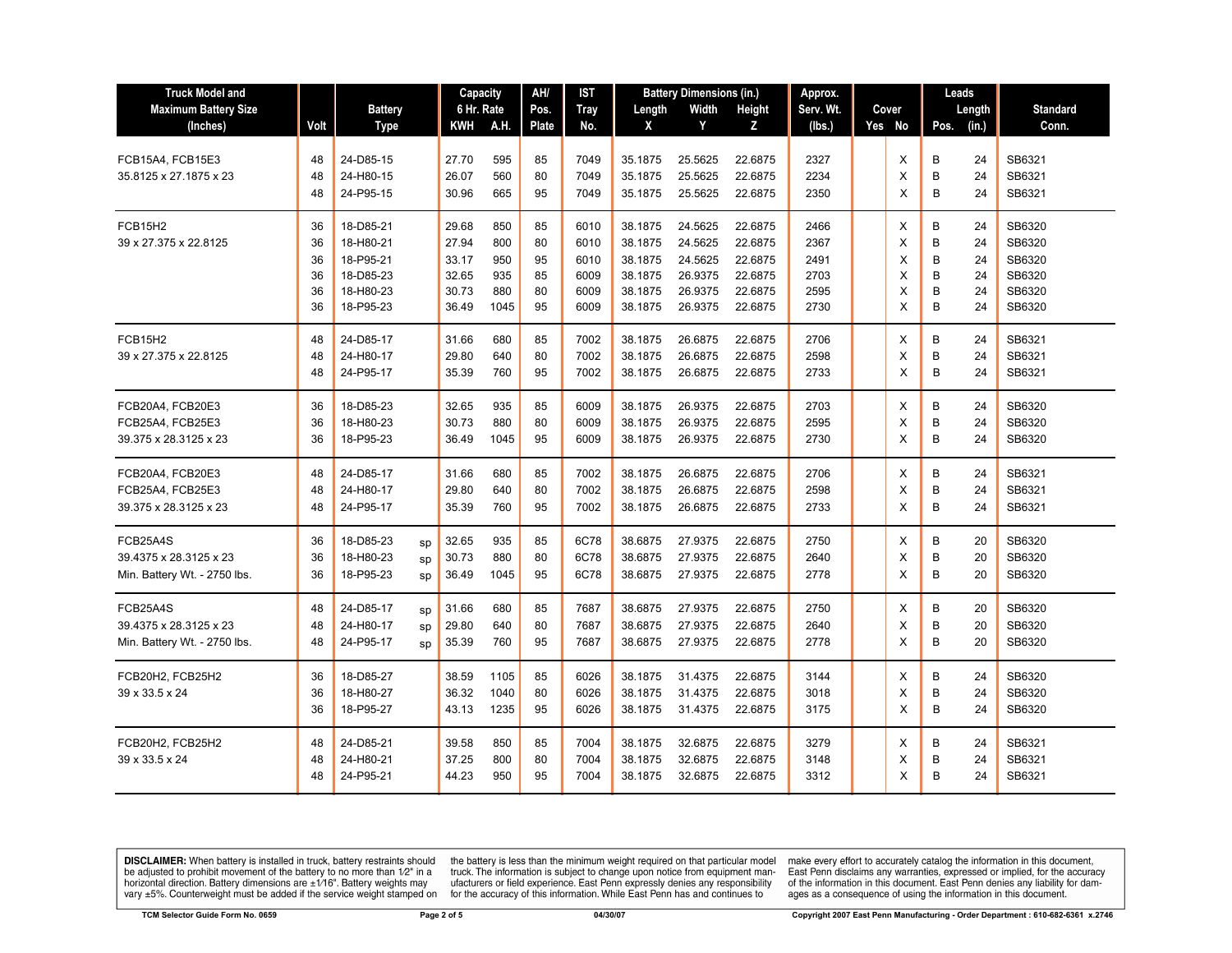| <b>Truck Model and</b>       |      |                |    | Capacity   |      | AH/          | IST         | <b>Battery Dimensions (in.)</b> |         | Approx. |           | Leads  |      |        |                 |
|------------------------------|------|----------------|----|------------|------|--------------|-------------|---------------------------------|---------|---------|-----------|--------|------|--------|-----------------|
| <b>Maximum Battery Size</b>  |      | <b>Battery</b> |    | 6 Hr. Rate |      | Pos.         | <b>Tray</b> | Length                          | Width   | Height  | Serv. Wt. | Cover  |      | Length | <b>Standard</b> |
| (Inches)                     | Volt | <b>Type</b>    |    | KWH        | A.H. | <b>Plate</b> | No.         | X                               | Y       | z       | (lbs.)    | Yes No | Pos. | (in.)  | Conn.           |
|                              |      |                |    |            |      |              |             |                                 |         |         |           |        |      |        |                 |
| FCB15A4, FCB15E3             | 48   | 24-D85-15      |    | 27.70      | 595  | 85           | 7049        | 35.1875                         | 25.5625 | 22.6875 | 2327      | X      | B    | 24     | SB6321          |
| 35.8125 x 27.1875 x 23       | 48   | 24-H80-15      |    | 26.07      | 560  | 80           | 7049        | 35.1875                         | 25.5625 | 22.6875 | 2234      | X      | B    | 24     | SB6321          |
|                              | 48   | 24-P95-15      |    | 30.96      | 665  | 95           | 7049        | 35.1875                         | 25.5625 | 22.6875 | 2350      | X      | B    | 24     | SB6321          |
| <b>FCB15H2</b>               | 36   | 18-D85-21      |    | 29.68      | 850  | 85           | 6010        | 38.1875                         | 24.5625 | 22.6875 | 2466      | X      | B    | 24     | SB6320          |
| 39 x 27.375 x 22.8125        | 36   | 18-H80-21      |    | 27.94      | 800  | 80           | 6010        | 38.1875                         | 24.5625 | 22.6875 | 2367      | X      | B    | 24     | SB6320          |
|                              | 36   | 18-P95-21      |    | 33.17      | 950  | 95           | 6010        | 38.1875                         | 24.5625 | 22.6875 | 2491      | X      | B    | 24     | SB6320          |
|                              | 36   | 18-D85-23      |    | 32.65      | 935  | 85           | 6009        | 38.1875                         | 26.9375 | 22.6875 | 2703      | X      | B    | 24     | SB6320          |
|                              | 36   | 18-H80-23      |    | 30.73      | 880  | 80           | 6009        | 38.1875                         | 26.9375 | 22.6875 | 2595      | X      | B    | 24     | SB6320          |
|                              | 36   | 18-P95-23      |    | 36.49      | 1045 | 95           | 6009        | 38.1875                         | 26.9375 | 22.6875 | 2730      | X      | B    | 24     | SB6320          |
| FCB15H2                      | 48   | 24-D85-17      |    | 31.66      | 680  | 85           | 7002        | 38.1875                         | 26.6875 | 22.6875 | 2706      | X      | B    | 24     | SB6321          |
| 39 x 27.375 x 22.8125        | 48   | 24-H80-17      |    | 29.80      | 640  | 80           | 7002        | 38.1875                         | 26.6875 | 22.6875 | 2598      | X      | B    | 24     | SB6321          |
|                              | 48   | 24-P95-17      |    | 35.39      | 760  | 95           | 7002        | 38.1875                         | 26.6875 | 22.6875 | 2733      | X      | В    | 24     | SB6321          |
| FCB20A4, FCB20E3             | 36   | 18-D85-23      |    | 32.65      | 935  | 85           | 6009        | 38.1875                         | 26.9375 | 22.6875 | 2703      | Х      | B    | 24     | SB6320          |
| FCB25A4, FCB25E3             | 36   | 18-H80-23      |    | 30.73      | 880  | 80           | 6009        | 38.1875                         | 26.9375 | 22.6875 | 2595      | X      | B    | 24     | SB6320          |
|                              |      |                |    |            |      |              |             |                                 |         |         |           |        | B    |        |                 |
| 39.375 x 28.3125 x 23        | 36   | 18-P95-23      |    | 36.49      | 1045 | 95           | 6009        | 38.1875                         | 26.9375 | 22.6875 | 2730      | X      |      | 24     | SB6320          |
| FCB20A4, FCB20E3             | 48   | 24-D85-17      |    | 31.66      | 680  | 85           | 7002        | 38.1875                         | 26.6875 | 22.6875 | 2706      | X      | B    | 24     | SB6321          |
| FCB25A4, FCB25E3             | 48   | 24-H80-17      |    | 29.80      | 640  | 80           | 7002        | 38.1875                         | 26.6875 | 22.6875 | 2598      | X      | B    | 24     | SB6321          |
| 39.375 x 28.3125 x 23        | 48   | 24-P95-17      |    | 35.39      | 760  | 95           | 7002        | 38.1875                         | 26.6875 | 22.6875 | 2733      | X      | B    | 24     | SB6321          |
| FCB25A4S                     | 36   | 18-D85-23      | sp | 32.65      | 935  | 85           | 6C78        | 38.6875                         | 27.9375 | 22.6875 | 2750      | X      | B    | 20     | SB6320          |
| 39.4375 x 28.3125 x 23       | 36   | 18-H80-23      | sp | 30.73      | 880  | 80           | 6C78        | 38.6875                         | 27.9375 | 22.6875 | 2640      | X      | B    | 20     | SB6320          |
| Min. Battery Wt. - 2750 lbs. | 36   | 18-P95-23      | sp | 36.49      | 1045 | 95           | 6C78        | 38.6875                         | 27.9375 | 22.6875 | 2778      | X      | B    | 20     | SB6320          |
|                              |      |                |    |            |      |              |             |                                 |         |         |           |        |      |        |                 |
| FCB25A4S                     | 48   | 24-D85-17      | SD | 31.66      | 680  | 85           | 7687        | 38.6875                         | 27.9375 | 22.6875 | 2750      | X      | B    | 20     | SB6320          |
| 39.4375 x 28.3125 x 23       | 48   | 24-H80-17      | sp | 29.80      | 640  | 80           | 7687        | 38.6875                         | 27.9375 | 22.6875 | 2640      | X      | B    | 20     | SB6320          |
| Min. Battery Wt. - 2750 lbs. | 48   | 24-P95-17      | sp | 35.39      | 760  | 95           | 7687        | 38.6875                         | 27.9375 | 22.6875 | 2778      | X      | B    | 20     | SB6320          |
| FCB20H2, FCB25H2             | 36   | 18-D85-27      |    | 38.59      | 1105 | 85           | 6026        | 38.1875                         | 31.4375 | 22.6875 | 3144      | X      | B    | 24     | SB6320          |
| 39 x 33.5 x 24               | 36   | 18-H80-27      |    | 36.32      | 1040 | 80           | 6026        | 38.1875                         | 31.4375 | 22.6875 | 3018      | X      | B    | 24     | SB6320          |
|                              | 36   | 18-P95-27      |    | 43.13      | 1235 | 95           | 6026        | 38.1875                         | 31.4375 | 22.6875 | 3175      | X      | В    | 24     | SB6320          |
| FCB20H2, FCB25H2             | 48   | 24-D85-21      |    | 39.58      | 850  | 85           | 7004        | 38.1875                         | 32.6875 | 22.6875 | 3279      | Х      | B    | 24     | SB6321          |
| 39 x 33.5 x 24               | 48   | 24-H80-21      |    | 37.25      | 800  | 80           | 7004        | 38.1875                         | 32.6875 | 22.6875 | 3148      | X      | B    | 24     | SB6321          |
|                              | 48   | 24-P95-21      |    | 44.23      | 950  | 95           | 7004        | 38.1875                         | 32.6875 | 22.6875 | 3312      | X      | B    | 24     | SB6321          |
|                              |      |                |    |            |      |              |             |                                 |         |         |           |        |      |        |                 |

**DISCLAIMER:** When battery is installed in truck, battery restraints should be adjusted to prohibit movement of the battery to no more than  $1/2$ " in a horizontal direction. Battery dimensions are  $\pm 1/16$ ". Battery weig

the battery is less than the minimum weight required on that particular model<br>truck. The information is subject to change upon notice from equipment man-<br>ufacturers or field experience. East Penn expressly denies any respo

make every effort to accurately catalog the information in this document,<br>East Penn disclaims any warranties, expressed or implied, for the accuracy<br>of the information in this document. East Penn denies any liability for d ages as a consequence of using the information in this document.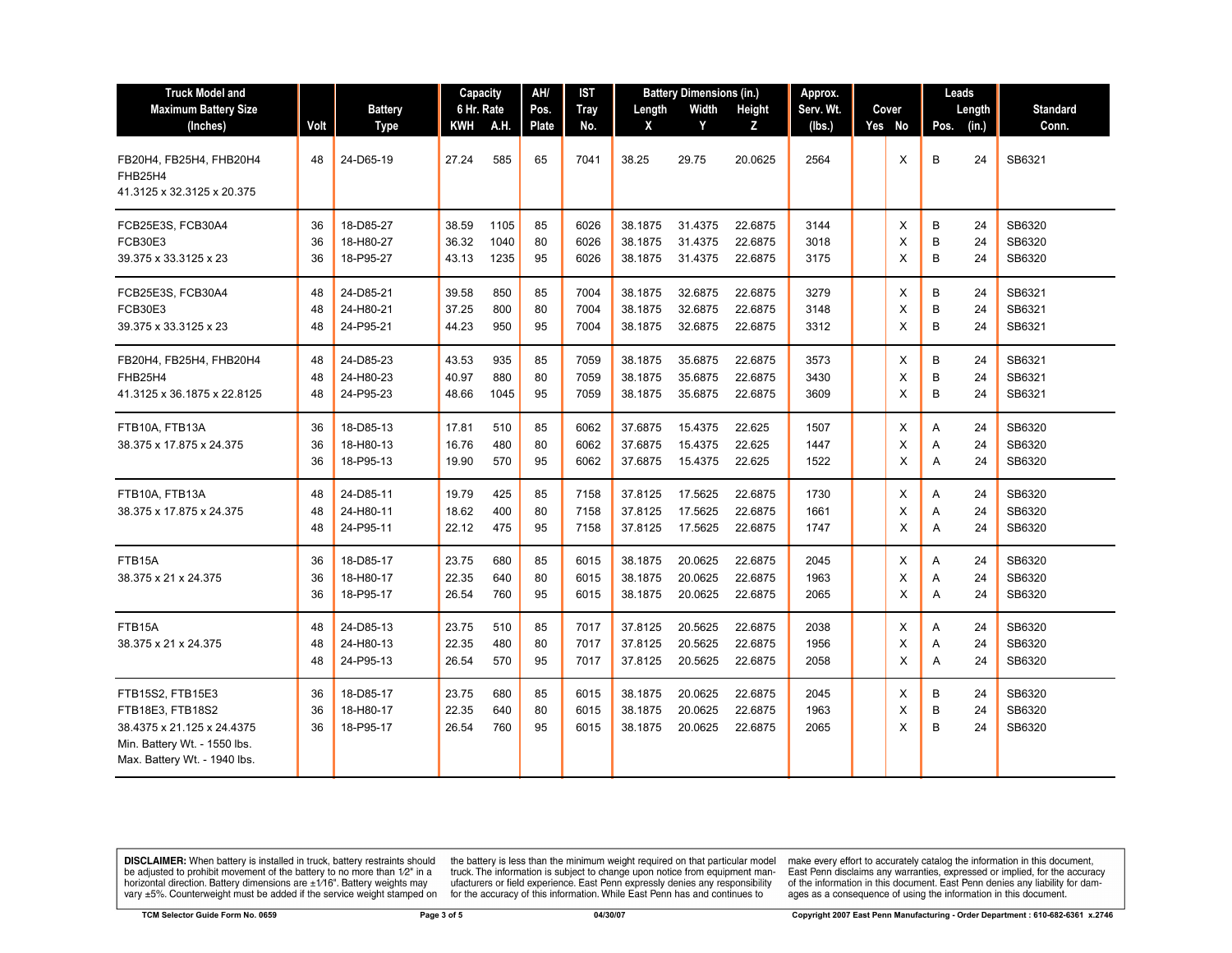| <b>Truck Model and</b>                                                                                                             | AH/<br><b>Battery Dimensions (in.)</b><br>Capacity<br>IST |                                     |                         | Approx.              |                |                      | Leads                         |                               |                               |                      |  |             |                               |                            |
|------------------------------------------------------------------------------------------------------------------------------------|-----------------------------------------------------------|-------------------------------------|-------------------------|----------------------|----------------|----------------------|-------------------------------|-------------------------------|-------------------------------|----------------------|--|-------------|-------------------------------|----------------------------|
| <b>Maximum Battery Size</b>                                                                                                        |                                                           | <b>Battery</b>                      | 6 Hr. Rate              |                      | Pos.           | <b>Tray</b>          | Length                        | Width                         | Height                        | Serv. Wt.            |  | Cover       | Length                        | <b>Standard</b>            |
| (Inches)                                                                                                                           | Volt                                                      | <b>Type</b>                         | KWH                     | A.H.                 | Plate          | No.                  | X                             | Y                             | z                             | (lbs.)               |  | Yes No      | (in.)<br>Pos.                 | Conn.                      |
| FB20H4, FB25H4, FHB20H4<br>FHB25H4<br>41.3125 x 32.3125 x 20.375                                                                   | 48                                                        | 24-D65-19                           | 27.24                   | 585                  | 65             | 7041                 | 38.25                         | 29.75                         | 20.0625                       | 2564                 |  | X           | B<br>24                       | SB6321                     |
| FCB25E3S, FCB30A4<br><b>FCB30E3</b><br>39.375 x 33.3125 x 23                                                                       | 36<br>36<br>36                                            | 18-D85-27<br>18-H80-27<br>18-P95-27 | 38.59<br>36.32<br>43.13 | 1105<br>1040<br>1235 | 85<br>80<br>95 | 6026<br>6026<br>6026 | 38.1875<br>38.1875<br>38.1875 | 31.4375<br>31.4375<br>31.4375 | 22.6875<br>22.6875<br>22.6875 | 3144<br>3018<br>3175 |  | X<br>X<br>X | B<br>24<br>B<br>24<br>B<br>24 | SB6320<br>SB6320<br>SB6320 |
| FCB25E3S, FCB30A4<br><b>FCB30E3</b><br>39.375 x 33.3125 x 23                                                                       | 48<br>48<br>48                                            | 24-D85-21<br>24-H80-21<br>24-P95-21 | 39.58<br>37.25<br>44.23 | 850<br>800<br>950    | 85<br>80<br>95 | 7004<br>7004<br>7004 | 38.1875<br>38.1875<br>38.1875 | 32.6875<br>32.6875<br>32.6875 | 22.6875<br>22.6875<br>22.6875 | 3279<br>3148<br>3312 |  | X<br>X<br>X | B<br>24<br>B<br>24<br>B<br>24 | SB6321<br>SB6321<br>SB6321 |
| FB20H4, FB25H4, FHB20H4<br>FHB25H4<br>41.3125 x 36.1875 x 22.8125                                                                  | 48<br>48<br>48                                            | 24-D85-23<br>24-H80-23<br>24-P95-23 | 43.53<br>40.97<br>48.66 | 935<br>880<br>1045   | 85<br>80<br>95 | 7059<br>7059<br>7059 | 38.1875<br>38.1875<br>38.1875 | 35.6875<br>35.6875<br>35.6875 | 22.6875<br>22.6875<br>22.6875 | 3573<br>3430<br>3609 |  | X<br>X<br>X | В<br>24<br>B<br>24<br>B<br>24 | SB6321<br>SB6321<br>SB6321 |
| FTB10A, FTB13A<br>38.375 x 17.875 x 24.375                                                                                         | 36<br>36<br>36                                            | 18-D85-13<br>18-H80-13<br>18-P95-13 | 17.81<br>16.76<br>19.90 | 510<br>480<br>570    | 85<br>80<br>95 | 6062<br>6062<br>6062 | 37.6875<br>37.6875<br>37.6875 | 15.4375<br>15.4375<br>15.4375 | 22.625<br>22.625<br>22.625    | 1507<br>1447<br>1522 |  | X<br>X<br>X | 24<br>Α<br>24<br>Α<br>A<br>24 | SB6320<br>SB6320<br>SB6320 |
| FTB10A, FTB13A<br>38.375 x 17.875 x 24.375                                                                                         | 48<br>48<br>48                                            | 24-D85-11<br>24-H80-11<br>24-P95-11 | 19.79<br>18.62<br>22.12 | 425<br>400<br>475    | 85<br>80<br>95 | 7158<br>7158<br>7158 | 37.8125<br>37.8125<br>37.8125 | 17.5625<br>17.5625<br>17.5625 | 22.6875<br>22.6875<br>22.6875 | 1730<br>1661<br>1747 |  | X<br>X<br>X | A<br>24<br>24<br>Α<br>24<br>Α | SB6320<br>SB6320<br>SB6320 |
| FTB15A<br>38.375 x 21 x 24.375                                                                                                     | 36<br>36<br>36                                            | 18-D85-17<br>18-H80-17<br>18-P95-17 | 23.75<br>22.35<br>26.54 | 680<br>640<br>760    | 85<br>80<br>95 | 6015<br>6015<br>6015 | 38.1875<br>38.1875<br>38.1875 | 20.0625<br>20.0625<br>20.0625 | 22.6875<br>22.6875<br>22.6875 | 2045<br>1963<br>2065 |  | Х<br>X<br>X | Α<br>24<br>24<br>Α<br>A<br>24 | SB6320<br>SB6320<br>SB6320 |
| FTB15A<br>38.375 x 21 x 24.375                                                                                                     | 48<br>48<br>48                                            | 24-D85-13<br>24-H80-13<br>24-P95-13 | 23.75<br>22.35<br>26.54 | 510<br>480<br>570    | 85<br>80<br>95 | 7017<br>7017<br>7017 | 37.8125<br>37.8125<br>37.8125 | 20.5625<br>20.5625<br>20.5625 | 22.6875<br>22.6875<br>22.6875 | 2038<br>1956<br>2058 |  | X<br>X<br>X | Α<br>24<br>24<br>Α<br>A<br>24 | SB6320<br>SB6320<br>SB6320 |
| FTB15S2, FTB15E3<br>FTB18E3, FTB18S2<br>38.4375 x 21.125 x 24.4375<br>Min. Battery Wt. - 1550 lbs.<br>Max. Battery Wt. - 1940 lbs. | 36<br>36<br>36                                            | 18-D85-17<br>18-H80-17<br>18-P95-17 | 23.75<br>22.35<br>26.54 | 680<br>640<br>760    | 85<br>80<br>95 | 6015<br>6015<br>6015 | 38.1875<br>38.1875<br>38.1875 | 20.0625<br>20.0625<br>20.0625 | 22.6875<br>22.6875<br>22.6875 | 2045<br>1963<br>2065 |  | X<br>X<br>X | В<br>24<br>B<br>24<br>B<br>24 | SB6320<br>SB6320<br>SB6320 |

**DISCLAIMER:** When battery is installed in truck, battery restraints should be adjusted to prohibit movement of the battery to no more than  $12^v$  in a horizontal direction. Battery dimensions are  $\pm 1/16^v$ . Battery wei

the battery is less than the minimum weight required on that particular model<br>truck. The information is subject to change upon notice from equipment man-<br>ufacturers or field experience. East Penn expressly denies any respo

make every effort to accurately catalog the information in this document,<br>East Penn disclaims any warranties, expressed or implied, for the accuracy<br>of the information in this document. East Penn denies any liability for d ages as a consequence of using the information in this document.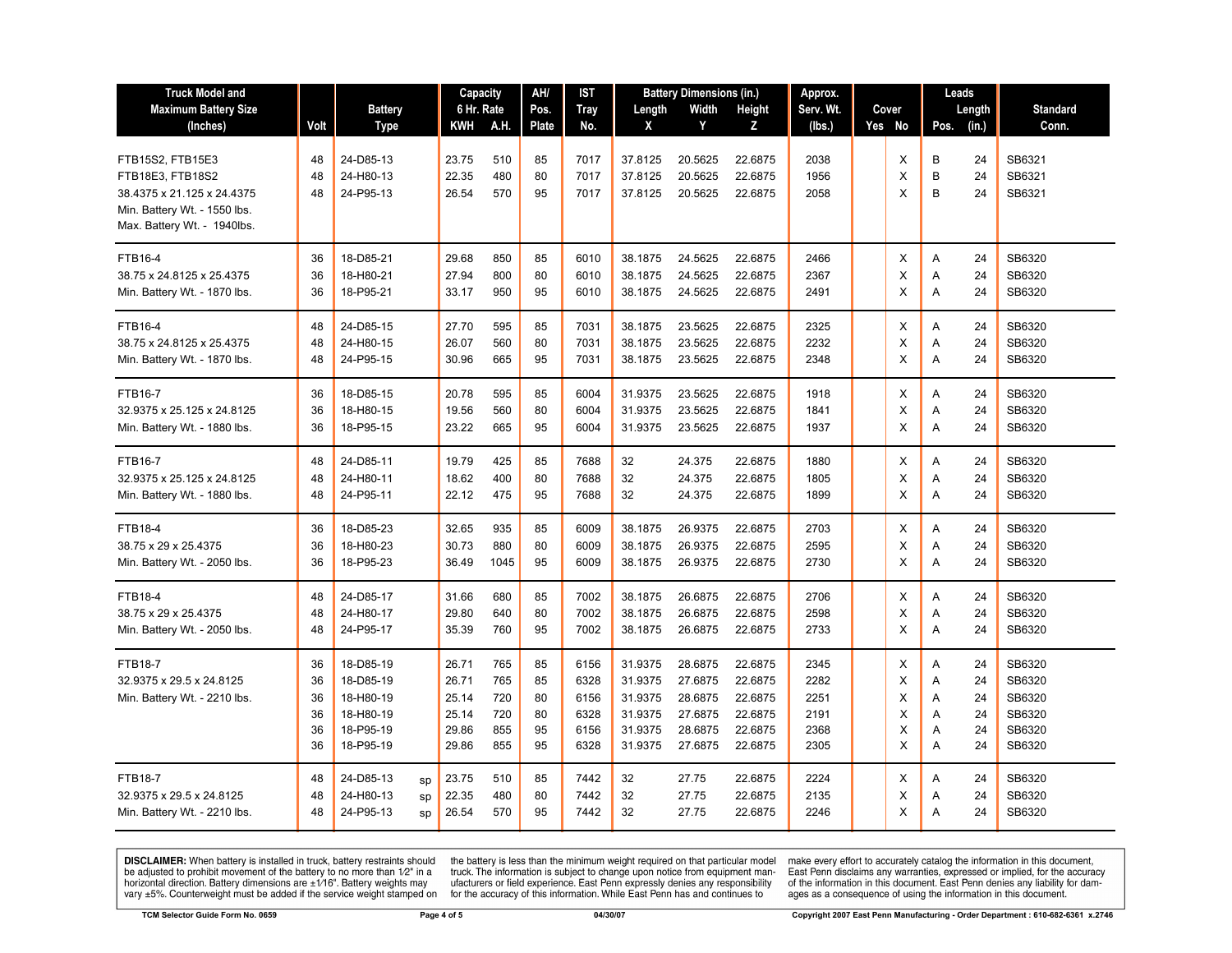| <b>Truck Model and</b>                                     |          |                        | Capacity       |            | AH/      | IST          |                    | <b>Battery Dimensions (in.)</b> | Approx.             |              |  | Leads  |        |          |                  |
|------------------------------------------------------------|----------|------------------------|----------------|------------|----------|--------------|--------------------|---------------------------------|---------------------|--------------|--|--------|--------|----------|------------------|
| <b>Maximum Battery Size</b>                                |          | <b>Battery</b>         | 6 Hr. Rate     |            | Pos.     | <b>Tray</b>  | Length             | Width                           | Height<br>Serv. Wt. |              |  | Cover  |        | Length   | <b>Standard</b>  |
| (Inches)                                                   | Volt     | <b>Type</b>            | KWH            | A.H.       | Plate    | No.          | X                  | Y                               | Z                   | (lbs.)       |  | Yes No | Pos.   | (in.)    | Conn.            |
|                                                            |          |                        |                |            |          |              |                    |                                 |                     |              |  |        |        |          |                  |
| FTB15S2, FTB15E3                                           | 48       | 24-D85-13              | 23.75<br>22.35 | 510<br>480 | 85       | 7017         | 37.8125            | 20.5625                         | 22.6875             | 2038         |  | X      | B      | 24       | SB6321<br>SB6321 |
| FTB18E3, FTB18S2                                           | 48       | 24-H80-13<br>24-P95-13 |                | 570        | 80<br>95 | 7017         | 37.8125            | 20.5625                         | 22.6875             | 1956         |  | X      | B<br>B | 24<br>24 | SB6321           |
| 38.4375 x 21.125 x 24.4375<br>Min. Battery Wt. - 1550 lbs. | 48       |                        | 26.54          |            |          | 7017         | 37.8125            | 20.5625                         | 22.6875             | 2058         |  | X      |        |          |                  |
| Max. Battery Wt. - 1940lbs.                                |          |                        |                |            |          |              |                    |                                 |                     |              |  |        |        |          |                  |
|                                                            |          |                        |                |            |          |              |                    |                                 |                     |              |  |        |        |          |                  |
| <b>FTB16-4</b>                                             | 36       | 18-D85-21              | 29.68          | 850        | 85       | 6010         | 38.1875            | 24.5625                         | 22.6875             | 2466         |  | Χ      | Α      | 24       | SB6320           |
| 38.75 x 24.8125 x 25.4375                                  | 36       | 18-H80-21              | 27.94          | 800        | 80       | 6010         | 38.1875            | 24.5625                         | 22.6875             | 2367         |  | X      | A      | 24       | SB6320           |
| Min. Battery Wt. - 1870 lbs.                               | 36       | 18-P95-21              | 33.17          | 950        | 95       | 6010         | 38.1875            | 24.5625                         | 22.6875             | 2491         |  | X      | A      | 24       | SB6320           |
| <b>FTB16-4</b>                                             | 48       | 24-D85-15              | 27.70          | 595        | 85       | 7031         | 38.1875            | 23.5625                         | 22.6875             | 2325         |  | X      | A      | 24       | SB6320           |
| 38.75 x 24.8125 x 25.4375                                  | 48       | 24-H80-15              | 26.07          | 560        | 80       | 7031         | 38.1875            | 23.5625                         | 22.6875             | 2232         |  | X      | Α      | 24       | SB6320           |
| Min. Battery Wt. - 1870 lbs.                               | 48       | 24-P95-15              | 30.96          | 665        | 95       | 7031         | 38.1875            | 23.5625                         | 22.6875             | 2348         |  | X      | A      | 24       | SB6320           |
|                                                            |          |                        |                |            |          |              |                    |                                 |                     |              |  |        |        |          |                  |
| <b>FTB16-7</b>                                             | 36       | 18-D85-15              | 20.78          | 595        | 85       | 6004         | 31.9375            | 23.5625                         | 22.6875             | 1918         |  | X      | Α      | 24       | SB6320           |
| 32.9375 x 25.125 x 24.8125                                 | 36       | 18-H80-15              | 19.56          | 560        | 80       | 6004         | 31.9375            | 23.5625                         | 22.6875             | 1841         |  | X      | Α      | 24       | SB6320           |
| Min. Battery Wt. - 1880 lbs.                               | 36       | 18-P95-15              | 23.22          | 665        | 95       | 6004         | 31.9375            | 23.5625                         | 22.6875             | 1937         |  | X      | Α      | 24       | SB6320           |
| <b>FTB16-7</b>                                             | 48       | 24-D85-11              | 19.79          | 425        | 85       | 7688         | 32                 | 24.375                          | 22.6875             | 1880         |  | X      | A      | 24       | SB6320           |
| 32.9375 x 25.125 x 24.8125                                 | 48       | 24-H80-11              | 18.62          | 400        | 80       | 7688         | 32                 | 24.375                          | 22.6875             | 1805         |  | X      | Α      | 24       | SB6320           |
| Min. Battery Wt. - 1880 lbs.                               | 48       | 24-P95-11              | 22.12          | 475        | 95       | 7688         | 32                 | 24.375                          | 22.6875             | 1899         |  | X      | A      | 24       | SB6320           |
|                                                            |          |                        |                |            |          |              |                    |                                 |                     |              |  |        |        |          |                  |
| <b>FTB18-4</b>                                             | 36       | 18-D85-23              | 32.65          | 935<br>880 | 85<br>80 | 6009<br>6009 | 38.1875            | 26.9375                         | 22.6875             | 2703         |  | X      | A      | 24       | SB6320           |
| 38.75 x 29 x 25.4375                                       | 36<br>36 | 18-H80-23<br>18-P95-23 | 30.73<br>36.49 | 1045       | 95       | 6009         | 38.1875<br>38.1875 | 26.9375<br>26.9375              | 22.6875<br>22.6875  | 2595<br>2730 |  | X<br>X | Α<br>A | 24<br>24 | SB6320<br>SB6320 |
| Min. Battery Wt. - 2050 lbs.                               |          |                        |                |            |          |              |                    |                                 |                     |              |  |        |        |          |                  |
| <b>FTB18-4</b>                                             | 48       | 24-D85-17              | 31.66          | 680        | 85       | 7002         | 38.1875            | 26.6875                         | 22.6875             | 2706         |  | X      | Α      | 24       | SB6320           |
| 38.75 x 29 x 25.4375                                       | 48       | 24-H80-17              | 29.80          | 640        | 80       | 7002         | 38.1875            | 26.6875                         | 22.6875             | 2598         |  | X      | Α      | 24       | SB6320           |
| Min. Battery Wt. - 2050 lbs.                               | 48       | 24-P95-17              | 35.39          | 760        | 95       | 7002         | 38.1875            | 26.6875                         | 22.6875             | 2733         |  | X      | Α      | 24       | SB6320           |
| <b>FTB18-7</b>                                             | 36       | 18-D85-19              | 26.71          | 765        | 85       | 6156         | 31.9375            | 28.6875                         | 22.6875             | 2345         |  | X      | Α      | 24       | SB6320           |
| 32.9375 x 29.5 x 24.8125                                   | 36       | 18-D85-19              | 26.71          | 765        | 85       | 6328         | 31.9375            | 27.6875                         | 22.6875             | 2282         |  | X      | Α      | 24       | SB6320           |
| Min. Battery Wt. - 2210 lbs.                               | 36       | 18-H80-19              | 25.14          | 720        | 80       | 6156         | 31.9375            | 28.6875                         | 22.6875             | 2251         |  | X      | A      | 24       | SB6320           |
|                                                            | 36       | 18-H80-19              | 25.14          | 720        | 80       | 6328         | 31.9375            | 27.6875                         | 22.6875             | 2191         |  | X      | Α      | 24       | SB6320           |
|                                                            | 36       | 18-P95-19              | 29.86          | 855        | 95       | 6156         | 31.9375            | 28.6875                         | 22.6875             | 2368         |  | X      | Α      | 24       | SB6320           |
|                                                            | 36       | 18-P95-19              | 29.86          | 855        | 95       | 6328         | 31.9375            | 27.6875                         | 22.6875             | 2305         |  | X      | A      | 24       | SB6320           |
| <b>FTB18-7</b>                                             | 48       | 24-D85-13<br>sp        | 23.75          | 510        | 85       | 7442         | 32                 | 27.75                           | 22.6875             | 2224         |  | Х      | A      | 24       | SB6320           |
| 32.9375 x 29.5 x 24.8125                                   | 48       | 24-H80-13<br>sp        | 22.35          | 480        | 80       | 7442         | 32                 | 27.75                           | 22.6875             | 2135         |  | X      | Α      | 24       | SB6320           |
| Min. Battery Wt. - 2210 lbs.                               | 48       | 24-P95-13<br>SD        | 26.54          | 570        | 95       | 7442         | 32                 | 27.75                           | 22.6875             | 2246         |  | X      | A      | 24       | SB6320           |
|                                                            |          |                        |                |            |          |              |                    |                                 |                     |              |  |        |        |          |                  |

**DISCLAIMER:** When battery is installed in truck, battery restraints should be adjusted to prohibit movement of the battery to no more than  $1/2$ " in a horizontal direction. Battery dimensions are  $\pm 1/16$ ". Battery weig

the battery is less than the minimum weight required on that particular model<br>truck. The information is subject to change upon notice from equipment man-<br>ufacturers or field experience. East Penn expressly denies any respo

make every effort to accurately catalog the information in this document,<br>East Penn disclaims any warranties, expressed or implied, for the accuracy<br>of the information in this document. East Penn denies any liability for d ages as a consequence of using the information in this document.